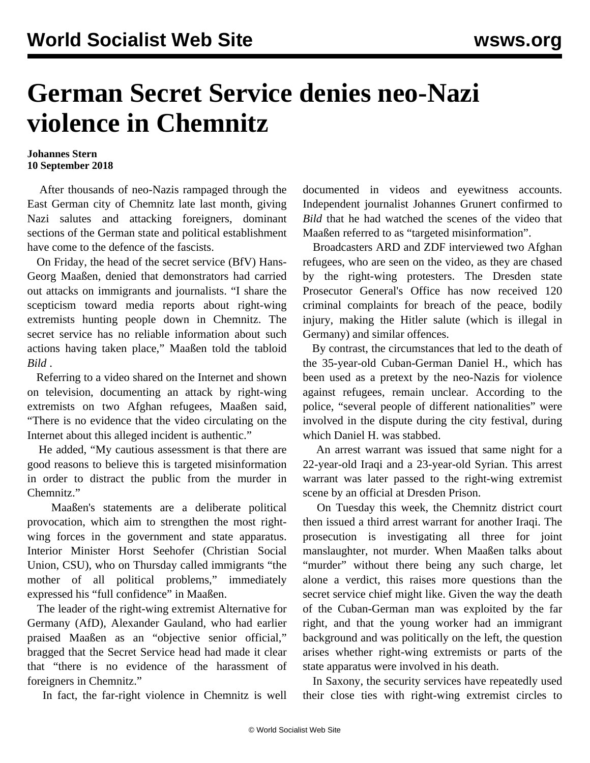## **German Secret Service denies neo-Nazi violence in Chemnitz**

## **Johannes Stern 10 September 2018**

 After thousands of neo-Nazis rampaged through the East German city of Chemnitz late last month, giving Nazi salutes and attacking foreigners, dominant sections of the German state and political establishment have come to the defence of the fascists.

 On Friday, the head of the secret service (BfV) Hans-Georg Maaßen, denied that demonstrators had carried out attacks on immigrants and journalists. "I share the scepticism toward media reports about right-wing extremists hunting people down in Chemnitz. The secret service has no reliable information about such actions having taken place," Maaßen told the tabloid *Bild* .

 Referring to a [video](https://www.youtube.com/watch?v=zLgbweGuiMw) shared on the Internet and shown on television, documenting an attack by right-wing extremists on two Afghan refugees, Maaßen said, "There is no evidence that the video circulating on the Internet about this alleged incident is authentic."

 He added, "My cautious assessment is that there are good reasons to believe this is targeted misinformation in order to distract the public from the murder in Chemnitz."

 Maaßen's statements are a deliberate political provocation, which aim to strengthen the most rightwing forces in the government and state apparatus. Interior Minister Horst Seehofer (Christian Social Union, CSU), who on Thursday called immigrants "the mother of all political problems," immediately expressed his "full confidence" in Maaßen.

 The leader of the right-wing extremist Alternative for Germany (AfD), Alexander Gauland, who had earlier praised Maaßen as an "objective senior official," bragged that the Secret Service head had made it clear that "there is no evidence of the harassment of foreigners in Chemnitz."

In fact, the far-right violence in Chemnitz is well

documented in videos and eyewitness accounts. Independent journalist Johannes Grunert confirmed to *Bild* that he had watched the scenes of the video that Maaßen referred to as "targeted misinformation".

 Broadcasters ARD and ZDF interviewed two Afghan refugees, who are seen on the video, as they are chased by the right-wing protesters. The Dresden state Prosecutor General's Office has now received 120 criminal complaints for breach of the peace, bodily injury, making the Hitler salute (which is illegal in Germany) and similar offences.

 By contrast, the circumstances that led to the death of the 35-year-old Cuban-German Daniel H., which has been used as a pretext by the neo-Nazis for violence against refugees, remain unclear. According to the police, "several people of different nationalities" were involved in the dispute during the city festival, during which Daniel H. was stabbed.

 An arrest warrant was issued that same night for a 22-year-old Iraqi and a 23-year-old Syrian. This arrest warrant was later passed to the right-wing extremist scene by an official at Dresden Prison.

 On Tuesday this week, the Chemnitz district court then issued a third arrest warrant for another Iraqi. The prosecution is investigating all three for joint manslaughter, not murder. When Maaßen talks about "murder" without there being any such charge, let alone a verdict, this raises more questions than the secret service chief might like. Given the way the death of the Cuban-German man was exploited by the far right, and that the young worker had an immigrant background and was politically on the left, the question arises whether right-wing extremists or parts of the state apparatus were involved in his death.

 In Saxony, the security services have repeatedly used their close ties with right-wing extremist circles to